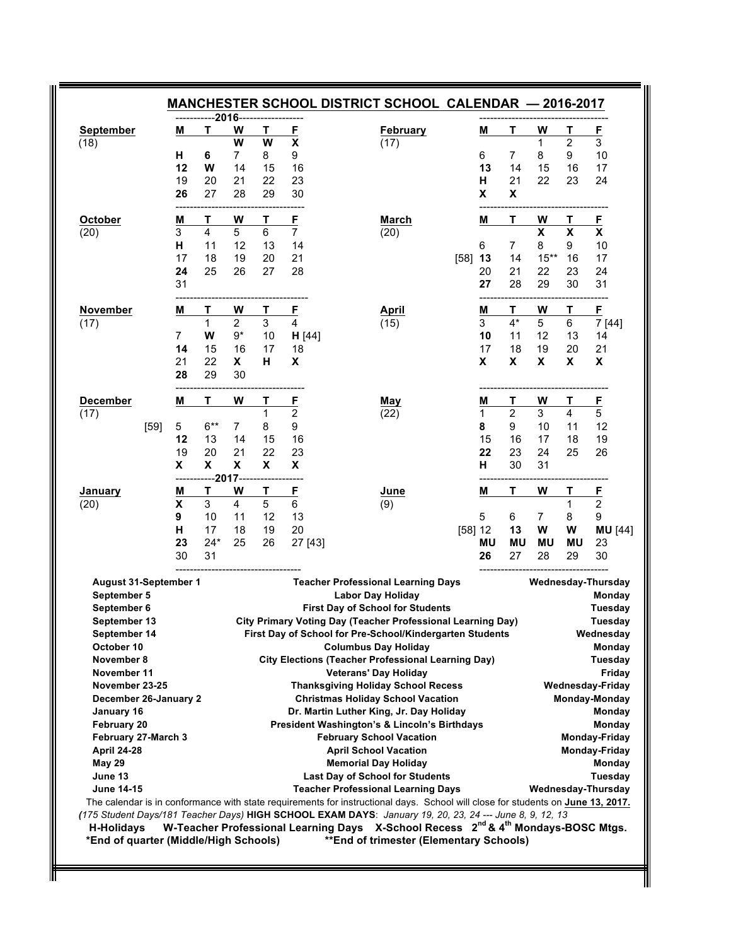| <b>September</b>                   |      | M              | т               | W              | Т  | E        | <b>February</b>                                                                                                                 | M         | т                         | W              | т         | E                       |
|------------------------------------|------|----------------|-----------------|----------------|----|----------|---------------------------------------------------------------------------------------------------------------------------------|-----------|---------------------------|----------------|-----------|-------------------------|
| (18)                               |      |                |                 | W              | W  | X        | (17)                                                                                                                            |           |                           | 1              | 2         | 3                       |
|                                    |      | н              | 6               | $\overline{7}$ | 8  | 9        |                                                                                                                                 | 6         | 7                         | 8              | 9         | 10                      |
|                                    |      | 12             | W               | 14             | 15 | 16       |                                                                                                                                 | 13        | 14                        | 15             | 16        | 17                      |
|                                    |      | 19             | 20              | 21             | 22 | 23       |                                                                                                                                 | н         | 21                        | 22             | 23        | 24                      |
|                                    |      | 26             | 27              | 28             | 29 | 30       |                                                                                                                                 | X         | $\boldsymbol{\mathsf{x}}$ |                |           |                         |
| October                            |      | M              | т               | W              | т  | E        | <b>March</b>                                                                                                                    | M         | Т                         | W              | т         | E                       |
| (20)                               |      | 3              | 4               | 5              | 6  | 7        | (20)                                                                                                                            |           |                           | X              | X         | X                       |
|                                    |      | н              | 11              | 12             | 13 | 14       |                                                                                                                                 | 6         | 7                         | 8              | 9         | 10                      |
|                                    |      | 17             | 18              | 19             | 20 | 21       | [58]                                                                                                                            | 13        | 14                        | $15***$        | 16        | 17                      |
|                                    |      | 24             | 25              | 26             | 27 | 28       |                                                                                                                                 | 20        | 21                        | 22             | 23        | 24                      |
|                                    |      | 31             |                 |                |    |          |                                                                                                                                 | 27        | 28                        | 29             | 30        | 31                      |
| November                           |      | Μ              | Т               | W              | Τ  | <u>F</u> | <b>April</b>                                                                                                                    | M         | т                         | W              | Τ         | F                       |
| (17)                               |      |                | 1               | $\overline{2}$ | 3  | 4        | (15)                                                                                                                            | 3         | $4*$                      | 5              | 6         | 7 [44]                  |
|                                    |      | $\overline{7}$ | W               | $9*$           | 10 | H [44]   |                                                                                                                                 | 10        | 11                        | 12             | 13        | 14                      |
|                                    |      | 14             | 15              | 16             | 17 | 18       |                                                                                                                                 | 17        | 18                        | 19             | 20        | 21                      |
|                                    |      | 21             | 22              | X.             | н  | X        |                                                                                                                                 | X         | X                         | X              | X         | X                       |
|                                    |      | 28             | 29              | 30             |    |          |                                                                                                                                 |           |                           |                |           |                         |
| <b>December</b>                    |      | M              | Τ               | W              | Τ  | E        | May                                                                                                                             | M         | Τ                         | W              | Т         | $\mathsf{F}$            |
| (17)                               |      |                |                 |                | 1  | 2        | (22)                                                                                                                            | 1         | 2                         | 3              | 4         | 5                       |
|                                    | [59] | 5              | $6***$          | $\overline{7}$ | 8  | 9        |                                                                                                                                 | 8         | 9                         | 10             | 11        | 12                      |
|                                    |      | 12             | 13              | 14             | 15 | 16       |                                                                                                                                 | 15        | 16                        | 17             | 18        | 19                      |
|                                    |      | 19             | 20              | 21             | 22 | 23       |                                                                                                                                 | 22        | 23                        | 24             | 25        | 26                      |
|                                    |      | X              | X               | X              | X  | X        |                                                                                                                                 | н         | 30                        | 31             |           |                         |
| January                            |      | M              | ----2017--<br>т | W              | Т  | E        | June                                                                                                                            | M         | т                         | W              | Т         | E                       |
| (20)                               |      | X              | 3               | 4              | 5  | 6        | (9)                                                                                                                             |           |                           |                | 1         | $\overline{2}$          |
|                                    |      | 9              | 10              | 11             | 12 | 13       |                                                                                                                                 | 5         | 6                         | $\overline{7}$ | 8         | 9                       |
|                                    |      | н              | 17              | 18             | 19 | 20       |                                                                                                                                 | [58] 12   | 13                        | W              | W         | <b>MU</b> [44]          |
|                                    |      | 23             | $24*$           | 25             | 26 | 27 [43]  |                                                                                                                                 | <b>MU</b> | <b>MU</b>                 | <b>MU</b>      | <b>MU</b> | 23                      |
|                                    |      | 30             | 31              |                |    |          |                                                                                                                                 | 26        | 27                        | 28             | 29        | 30                      |
| August 31-September 1              |      |                |                 |                |    |          | <b>Teacher Professional Learning Days</b>                                                                                       |           |                           |                |           | Wednesday-Thursday      |
| September 5                        |      |                |                 |                |    |          | <b>Labor Day Holiday</b>                                                                                                        |           |                           |                |           | Monday                  |
| September 6                        |      |                |                 |                |    |          | <b>First Day of School for Students</b>                                                                                         |           |                           |                |           | Tuesday                 |
| September 13                       |      |                |                 |                |    |          | <b>City Primary Voting Day (Teacher Professional Learning Day)</b>                                                              |           |                           |                |           | Tuesday                 |
| September 14                       |      |                |                 |                |    |          | First Day of School for Pre-School/Kindergarten Students                                                                        |           |                           |                |           | Wednesday               |
| October 10                         |      |                |                 |                |    |          | <b>Columbus Day Holiday</b>                                                                                                     |           |                           |                |           | Monday                  |
| November 8                         |      |                |                 |                |    |          | <b>City Elections (Teacher Professional Learning Day)</b>                                                                       |           |                           |                |           | Tuesday                 |
| November 11                        |      |                |                 |                |    |          | <b>Veterans' Day Holiday</b>                                                                                                    |           |                           |                |           | Friday                  |
| November 23-25                     |      |                |                 |                |    |          | <b>Thanksgiving Holiday School Recess</b>                                                                                       |           |                           |                |           | <b>Wednesday-Friday</b> |
| December 26-January 2              |      |                |                 |                |    |          | <b>Christmas Holiday School Vacation</b>                                                                                        |           |                           |                |           | Monday-Monday           |
| January 16                         |      |                |                 |                |    |          | Dr. Martin Luther King, Jr. Day Holiday<br>President Washington's & Lincoln's Birthdays                                         |           |                           |                |           | Monday                  |
| February 20<br>February 27-March 3 |      |                |                 |                |    |          | <b>February School Vacation</b>                                                                                                 |           |                           |                |           | Monday<br>Monday-Friday |
| <b>April 24-28</b>                 |      |                |                 |                |    |          | <b>April School Vacation</b>                                                                                                    |           |                           |                |           | Monday-Friday           |
| <b>May 29</b>                      |      |                |                 |                |    |          | <b>Memorial Day Holiday</b>                                                                                                     |           |                           |                |           | Monday                  |
| June 13                            |      |                |                 |                |    |          | <b>Last Day of School for Students</b>                                                                                          |           |                           |                |           | Tuesday                 |
| <b>June 14-15</b>                  |      |                |                 |                |    |          | <b>Teacher Professional Learning Days</b>                                                                                       |           |                           |                |           | Wednesday-Thursday      |
|                                    |      |                |                 |                |    |          | The calendar is in conformance with state requirements for instructional days. School will close for students on June 13, 2017. |           |                           |                |           |                         |
|                                    |      |                |                 |                |    |          | (175 Student Days/181 Teacher Days) HIGH SCHOOL EXAM DAYS: January 19, 20, 23, 24 --- June 8, 9, 12, 13                         |           |                           |                |           |                         |